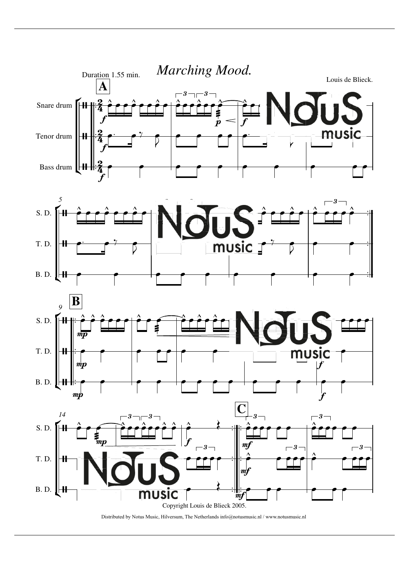





Distributed by Notus Music, Hilversum, The Netherlands info@notusmusic.nl / www.notusmusic.nl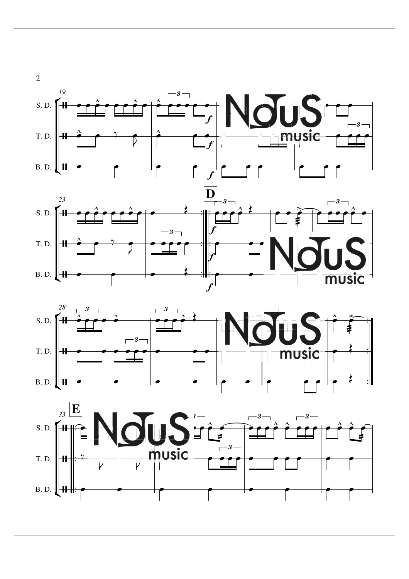





2